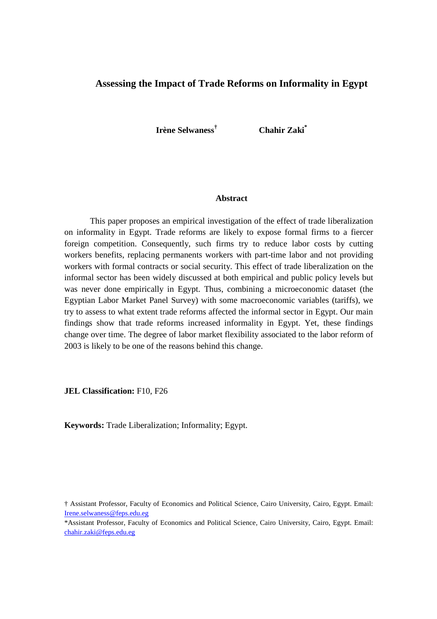# **Assessing the Impact of Trade Reforms on Informality in Egypt**

**Irène Selwaness† Chahir Zaki\*** 

## **Abstract**

This paper proposes an empirical investigation of the effect of trade liberalization on informality in Egypt. Trade reforms are likely to expose formal firms to a fiercer foreign competition. Consequently, such firms try to reduce labor costs by cutting workers benefits, replacing permanents workers with part-time labor and not providing workers with formal contracts or social security. This effect of trade liberalization on the informal sector has been widely discussed at both empirical and public policy levels but was never done empirically in Egypt. Thus, combining a microeconomic dataset (the Egyptian Labor Market Panel Survey) with some macroeconomic variables (tariffs), we try to assess to what extent trade reforms affected the informal sector in Egypt. Our main findings show that trade reforms increased informality in Egypt. Yet, these findings change over time. The degree of labor market flexibility associated to the labor reform of 2003 is likely to be one of the reasons behind this change.

**JEL Classification:** F10, F26

**Keywords:** Trade Liberalization; Informality; Egypt.

<sup>†</sup> Assistant Professor, Faculty of Economics and Political Science, Cairo University, Cairo, Egypt. Email: Irene.selwaness@feps.edu.eg

<sup>\*</sup>Assistant Professor, Faculty of Economics and Political Science, Cairo University, Cairo, Egypt. Email: chahir.zaki@feps.edu.eg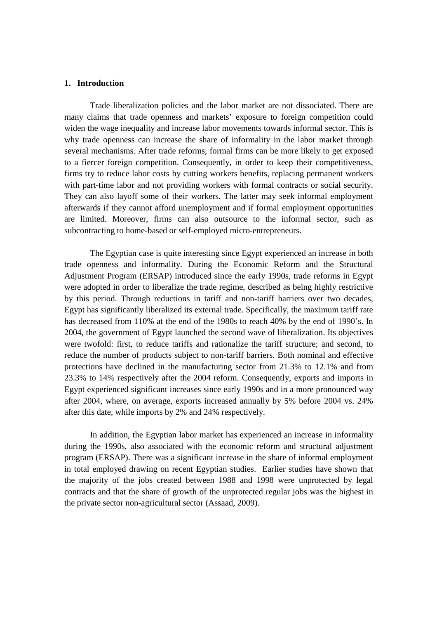## **1. Introduction**

Trade liberalization policies and the labor market are not dissociated. There are many claims that trade openness and markets' exposure to foreign competition could widen the wage inequality and increase labor movements towards informal sector. This is why trade openness can increase the share of informality in the labor market through several mechanisms. After trade reforms, formal firms can be more likely to get exposed to a fiercer foreign competition. Consequently, in order to keep their competitiveness, firms try to reduce labor costs by cutting workers benefits, replacing permanent workers with part-time labor and not providing workers with formal contracts or social security. They can also layoff some of their workers. The latter may seek informal employment afterwards if they cannot afford unemployment and if formal employment opportunities are limited. Moreover, firms can also outsource to the informal sector, such as subcontracting to home-based or self-employed micro-entrepreneurs.

The Egyptian case is quite interesting since Egypt experienced an increase in both trade openness and informality. During the Economic Reform and the Structural Adjustment Program (ERSAP) introduced since the early 1990s, trade reforms in Egypt were adopted in order to liberalize the trade regime, described as being highly restrictive by this period. Through reductions in tariff and non-tariff barriers over two decades, Egypt has significantly liberalized its external trade. Specifically, the maximum tariff rate has decreased from 110% at the end of the 1980s to reach 40% by the end of 1990's. In 2004, the government of Egypt launched the second wave of liberalization. Its objectives were twofold: first, to reduce tariffs and rationalize the tariff structure; and second, to reduce the number of products subject to non-tariff barriers. Both nominal and effective protections have declined in the manufacturing sector from 21.3% to 12.1% and from 23.3% to 14% respectively after the 2004 reform. Consequently, exports and imports in Egypt experienced significant increases since early 1990s and in a more pronounced way after 2004, where, on average, exports increased annually by 5% before 2004 vs. 24% after this date, while imports by 2% and 24% respectively.

In addition, the Egyptian labor market has experienced an increase in informality during the 1990s, also associated with the economic reform and structural adjustment program (ERSAP). There was a significant increase in the share of informal employment in total employed drawing on recent Egyptian studies. Earlier studies have shown that the majority of the jobs created between 1988 and 1998 were unprotected by legal contracts and that the share of growth of the unprotected regular jobs was the highest in the private sector non-agricultural sector (Assaad, 2009).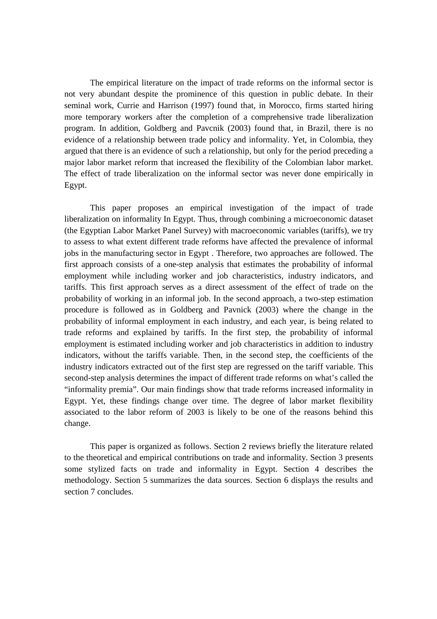The empirical literature on the impact of trade reforms on the informal sector is not very abundant despite the prominence of this question in public debate. In their seminal work, Currie and Harrison (1997) found that, in Morocco, firms started hiring more temporary workers after the completion of a comprehensive trade liberalization program. In addition, Goldberg and Pavcnik (2003) found that, in Brazil, there is no evidence of a relationship between trade policy and informality. Yet, in Colombia, they argued that there is an evidence of such a relationship, but only for the period preceding a major labor market reform that increased the flexibility of the Colombian labor market. The effect of trade liberalization on the informal sector was never done empirically in Egypt.

This paper proposes an empirical investigation of the impact of trade liberalization on informality In Egypt. Thus, through combining a microeconomic dataset (the Egyptian Labor Market Panel Survey) with macroeconomic variables (tariffs), we try to assess to what extent different trade reforms have affected the prevalence of informal jobs in the manufacturing sector in Egypt . Therefore, two approaches are followed. The first approach consists of a one-step analysis that estimates the probability of informal employment while including worker and job characteristics, industry indicators, and tariffs. This first approach serves as a direct assessment of the effect of trade on the probability of working in an informal job. In the second approach, a two-step estimation procedure is followed as in Goldberg and Pavnick (2003) where the change in the probability of informal employment in each industry, and each year, is being related to trade reforms and explained by tariffs. In the first step, the probability of informal employment is estimated including worker and job characteristics in addition to industry indicators, without the tariffs variable. Then, in the second step, the coefficients of the industry indicators extracted out of the first step are regressed on the tariff variable. This second-step analysis determines the impact of different trade reforms on what's called the "informality premia". Our main findings show that trade reforms increased informality in Egypt. Yet, these findings change over time. The degree of labor market flexibility associated to the labor reform of 2003 is likely to be one of the reasons behind this change.

This paper is organized as follows. Section 2 reviews briefly the literature related to the theoretical and empirical contributions on trade and informality. Section 3 presents some stylized facts on trade and informality in Egypt. Section 4 describes the methodology. Section 5 summarizes the data sources. Section 6 displays the results and section 7 concludes.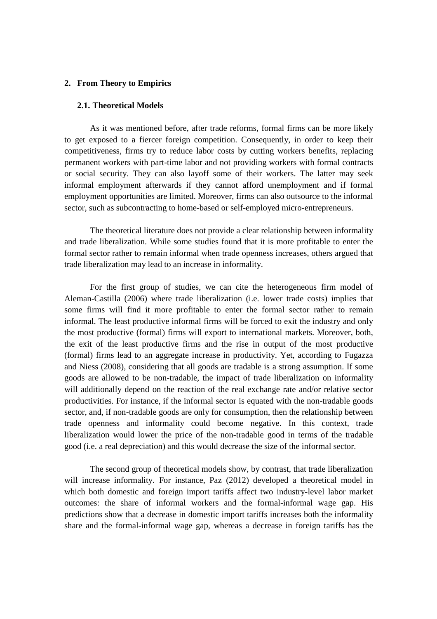## **2. From Theory to Empirics**

## **2.1. Theoretical Models**

As it was mentioned before, after trade reforms, formal firms can be more likely to get exposed to a fiercer foreign competition. Consequently, in order to keep their competitiveness, firms try to reduce labor costs by cutting workers benefits, replacing permanent workers with part-time labor and not providing workers with formal contracts or social security. They can also layoff some of their workers. The latter may seek informal employment afterwards if they cannot afford unemployment and if formal employment opportunities are limited. Moreover, firms can also outsource to the informal sector, such as subcontracting to home-based or self-employed micro-entrepreneurs.

The theoretical literature does not provide a clear relationship between informality and trade liberalization. While some studies found that it is more profitable to enter the formal sector rather to remain informal when trade openness increases, others argued that trade liberalization may lead to an increase in informality.

For the first group of studies, we can cite the heterogeneous firm model of Aleman-Castilla (2006) where trade liberalization (i.e. lower trade costs) implies that some firms will find it more profitable to enter the formal sector rather to remain informal. The least productive informal firms will be forced to exit the industry and only the most productive (formal) firms will export to international markets. Moreover, both, the exit of the least productive firms and the rise in output of the most productive (formal) firms lead to an aggregate increase in productivity. Yet, according to Fugazza and Niess (2008), considering that all goods are tradable is a strong assumption. If some goods are allowed to be non-tradable, the impact of trade liberalization on informality will additionally depend on the reaction of the real exchange rate and/or relative sector productivities. For instance, if the informal sector is equated with the non-tradable goods sector, and, if non-tradable goods are only for consumption, then the relationship between trade openness and informality could become negative. In this context, trade liberalization would lower the price of the non-tradable good in terms of the tradable good (i.e. a real depreciation) and this would decrease the size of the informal sector.

The second group of theoretical models show, by contrast, that trade liberalization will increase informality. For instance, Paz (2012) developed a theoretical model in which both domestic and foreign import tariffs affect two industry-level labor market outcomes: the share of informal workers and the formal-informal wage gap. His predictions show that a decrease in domestic import tariffs increases both the informality share and the formal-informal wage gap, whereas a decrease in foreign tariffs has the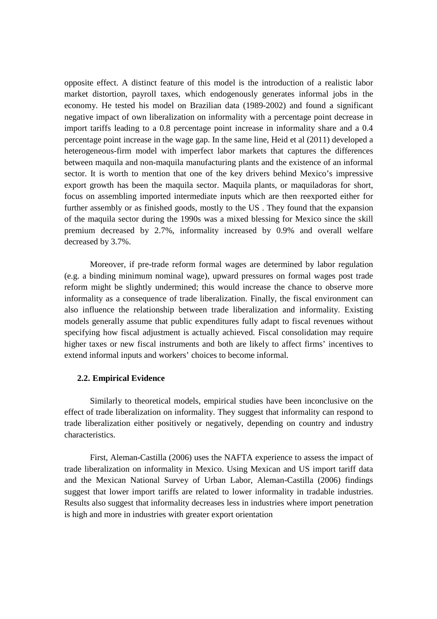opposite effect. A distinct feature of this model is the introduction of a realistic labor market distortion, payroll taxes, which endogenously generates informal jobs in the economy. He tested his model on Brazilian data (1989-2002) and found a significant negative impact of own liberalization on informality with a percentage point decrease in import tariffs leading to a 0.8 percentage point increase in informality share and a 0.4 percentage point increase in the wage gap. In the same line, Heid et al (2011) developed a heterogeneous-firm model with imperfect labor markets that captures the differences between maquila and non-maquila manufacturing plants and the existence of an informal sector. It is worth to mention that one of the key drivers behind Mexico's impressive export growth has been the maquila sector. Maquila plants, or maquiladoras for short, focus on assembling imported intermediate inputs which are then reexported either for further assembly or as finished goods, mostly to the US . They found that the expansion of the maquila sector during the 1990s was a mixed blessing for Mexico since the skill premium decreased by 2.7%, informality increased by 0.9% and overall welfare decreased by 3.7%.

Moreover, if pre-trade reform formal wages are determined by labor regulation (e.g. a binding minimum nominal wage), upward pressures on formal wages post trade reform might be slightly undermined; this would increase the chance to observe more informality as a consequence of trade liberalization. Finally, the fiscal environment can also influence the relationship between trade liberalization and informality. Existing models generally assume that public expenditures fully adapt to fiscal revenues without specifying how fiscal adjustment is actually achieved. Fiscal consolidation may require higher taxes or new fiscal instruments and both are likely to affect firms' incentives to extend informal inputs and workers' choices to become informal.

## **2.2. Empirical Evidence**

Similarly to theoretical models, empirical studies have been inconclusive on the effect of trade liberalization on informality. They suggest that informality can respond to trade liberalization either positively or negatively, depending on country and industry characteristics.

First, Aleman-Castilla (2006) uses the NAFTA experience to assess the impact of trade liberalization on informality in Mexico. Using Mexican and US import tariff data and the Mexican National Survey of Urban Labor, Aleman-Castilla (2006) findings suggest that lower import tariffs are related to lower informality in tradable industries. Results also suggest that informality decreases less in industries where import penetration is high and more in industries with greater export orientation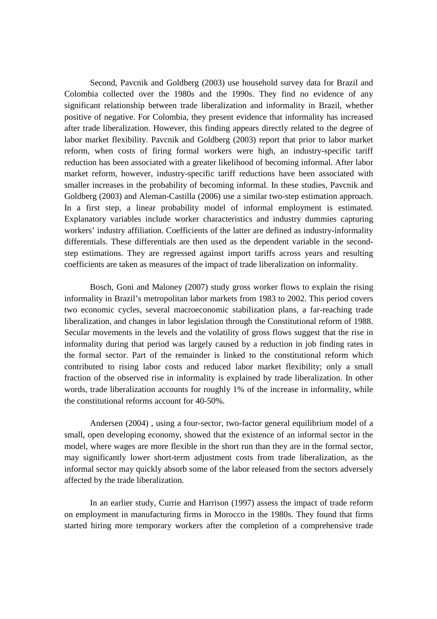Second, Pavcnik and Goldberg (2003) use household survey data for Brazil and Colombia collected over the 1980s and the 1990s. They find no evidence of any significant relationship between trade liberalization and informality in Brazil, whether positive of negative. For Colombia, they present evidence that informality has increased after trade liberalization. However, this finding appears directly related to the degree of labor market flexibility. Pavcnik and Goldberg (2003) report that prior to labor market reform, when costs of firing formal workers were high, an industry-specific tariff reduction has been associated with a greater likelihood of becoming informal. After labor market reform, however, industry-specific tariff reductions have been associated with smaller increases in the probability of becoming informal. In these studies, Pavcnik and Goldberg (2003) and Aleman-Castilla (2006) use a similar two-step estimation approach. In a first step, a linear probability model of informal employment is estimated. Explanatory variables include worker characteristics and industry dummies capturing workers' industry affiliation. Coefficients of the latter are defined as industry-informality differentials. These differentials are then used as the dependent variable in the secondstep estimations. They are regressed against import tariffs across years and resulting coefficients are taken as measures of the impact of trade liberalization on informality.

Bosch, Goni and Maloney (2007) study gross worker flows to explain the rising informality in Brazil's metropolitan labor markets from 1983 to 2002. This period covers two economic cycles, several macroeconomic stabilization plans, a far-reaching trade liberalization, and changes in labor legislation through the Constitutional reform of 1988. Secular movements in the levels and the volatility of gross flows suggest that the rise in informality during that period was largely caused by a reduction in job finding rates in the formal sector. Part of the remainder is linked to the constitutional reform which contributed to rising labor costs and reduced labor market flexibility; only a small fraction of the observed rise in informality is explained by trade liberalization. In other words, trade liberalization accounts for roughly 1% of the increase in informality, while the constitutional reforms account for 40-50%.

Andersen (2004) , using a four-sector, two-factor general equilibrium model of a small, open developing economy, showed that the existence of an informal sector in the model, where wages are more flexible in the short run than they are in the formal sector, may significantly lower short-term adjustment costs from trade liberalization, as the informal sector may quickly absorb some of the labor released from the sectors adversely affected by the trade liberalization.

In an earlier study, Currie and Harrison (1997) assess the impact of trade reform on employment in manufacturing firms in Morocco in the 1980s. They found that firms started hiring more temporary workers after the completion of a comprehensive trade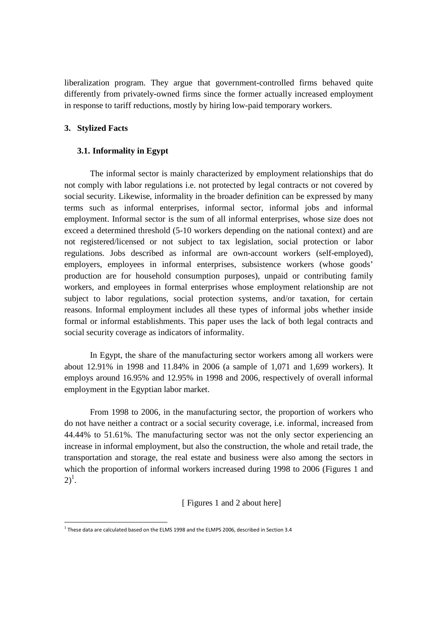liberalization program. They argue that government-controlled firms behaved quite differently from privately-owned firms since the former actually increased employment in response to tariff reductions, mostly by hiring low-paid temporary workers.

# **3. Stylized Facts**

<u>.</u>

## **3.1. Informality in Egypt**

The informal sector is mainly characterized by employment relationships that do not comply with labor regulations i.e. not protected by legal contracts or not covered by social security. Likewise, informality in the broader definition can be expressed by many terms such as informal enterprises, informal sector, informal jobs and informal employment. Informal sector is the sum of all informal enterprises, whose size does not exceed a determined threshold (5-10 workers depending on the national context) and are not registered/licensed or not subject to tax legislation, social protection or labor regulations. Jobs described as informal are own-account workers (self-employed), employers, employees in informal enterprises, subsistence workers (whose goods' production are for household consumption purposes), unpaid or contributing family workers, and employees in formal enterprises whose employment relationship are not subject to labor regulations, social protection systems, and/or taxation, for certain reasons. Informal employment includes all these types of informal jobs whether inside formal or informal establishments. This paper uses the lack of both legal contracts and social security coverage as indicators of informality.

In Egypt, the share of the manufacturing sector workers among all workers were about 12.91% in 1998 and 11.84% in 2006 (a sample of 1,071 and 1,699 workers). It employs around 16.95% and 12.95% in 1998 and 2006, respectively of overall informal employment in the Egyptian labor market.

From 1998 to 2006, in the manufacturing sector, the proportion of workers who do not have neither a contract or a social security coverage, i.e. informal, increased from 44.44% to 51.61%. The manufacturing sector was not the only sector experiencing an increase in informal employment, but also the construction, the whole and retail trade, the transportation and storage, the real estate and business were also among the sectors in which the proportion of informal workers increased during 1998 to 2006 (Figures 1 and  $2)^{1}$ .

[ Figures 1 and 2 about here]

 $^1$  These data are calculated based on the ELMS 1998 and the ELMPS 2006, described in Section 3.4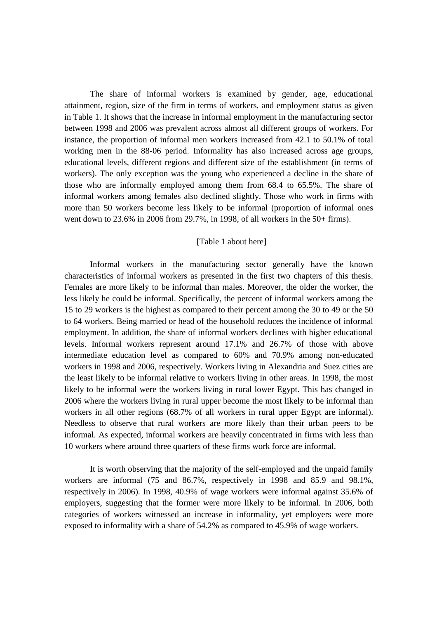The share of informal workers is examined by gender, age, educational attainment, region, size of the firm in terms of workers, and employment status as given in Table 1. It shows that the increase in informal employment in the manufacturing sector between 1998 and 2006 was prevalent across almost all different groups of workers. For instance, the proportion of informal men workers increased from 42.1 to 50.1% of total working men in the 88-06 period. Informality has also increased across age groups, educational levels, different regions and different size of the establishment (in terms of workers). The only exception was the young who experienced a decline in the share of those who are informally employed among them from 68.4 to 65.5%. The share of informal workers among females also declined slightly. Those who work in firms with more than 50 workers become less likely to be informal (proportion of informal ones went down to 23.6% in 2006 from 29.7%, in 1998, of all workers in the 50+ firms).

## [Table 1 about here]

Informal workers in the manufacturing sector generally have the known characteristics of informal workers as presented in the first two chapters of this thesis. Females are more likely to be informal than males. Moreover, the older the worker, the less likely he could be informal. Specifically, the percent of informal workers among the 15 to 29 workers is the highest as compared to their percent among the 30 to 49 or the 50 to 64 workers. Being married or head of the household reduces the incidence of informal employment. In addition, the share of informal workers declines with higher educational levels. Informal workers represent around 17.1% and 26.7% of those with above intermediate education level as compared to 60% and 70.9% among non-educated workers in 1998 and 2006, respectively. Workers living in Alexandria and Suez cities are the least likely to be informal relative to workers living in other areas. In 1998, the most likely to be informal were the workers living in rural lower Egypt. This has changed in 2006 where the workers living in rural upper become the most likely to be informal than workers in all other regions (68.7% of all workers in rural upper Egypt are informal). Needless to observe that rural workers are more likely than their urban peers to be informal. As expected, informal workers are heavily concentrated in firms with less than 10 workers where around three quarters of these firms work force are informal.

It is worth observing that the majority of the self-employed and the unpaid family workers are informal (75 and 86.7%, respectively in 1998 and 85.9 and 98.1%, respectively in 2006). In 1998, 40.9% of wage workers were informal against 35.6% of employers, suggesting that the former were more likely to be informal. In 2006, both categories of workers witnessed an increase in informality, yet employers were more exposed to informality with a share of 54.2% as compared to 45.9% of wage workers.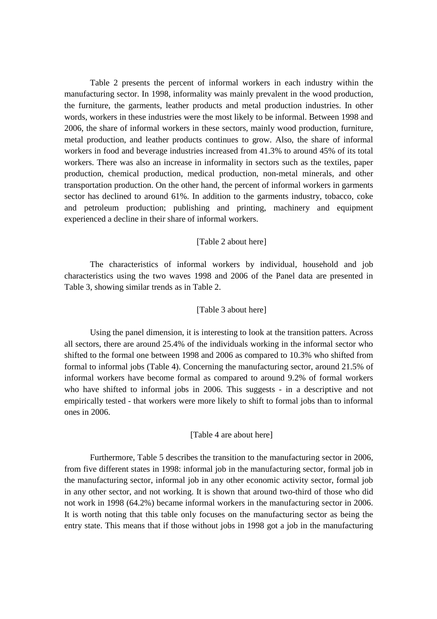Table 2 presents the percent of informal workers in each industry within the manufacturing sector. In 1998, informality was mainly prevalent in the wood production, the furniture, the garments, leather products and metal production industries. In other words, workers in these industries were the most likely to be informal. Between 1998 and 2006, the share of informal workers in these sectors, mainly wood production, furniture, metal production, and leather products continues to grow. Also, the share of informal workers in food and beverage industries increased from 41.3% to around 45% of its total workers. There was also an increase in informality in sectors such as the textiles, paper production, chemical production, medical production, non-metal minerals, and other transportation production. On the other hand, the percent of informal workers in garments sector has declined to around 61%. In addition to the garments industry, tobacco, coke and petroleum production; publishing and printing, machinery and equipment experienced a decline in their share of informal workers.

## [Table 2 about here]

The characteristics of informal workers by individual, household and job characteristics using the two waves 1998 and 2006 of the Panel data are presented in Table 3, showing similar trends as in Table 2.

## [Table 3 about here]

Using the panel dimension, it is interesting to look at the transition patters. Across all sectors, there are around 25.4% of the individuals working in the informal sector who shifted to the formal one between 1998 and 2006 as compared to 10.3% who shifted from formal to informal jobs (Table 4). Concerning the manufacturing sector, around 21.5% of informal workers have become formal as compared to around 9.2% of formal workers who have shifted to informal jobs in 2006. This suggests - in a descriptive and not empirically tested - that workers were more likely to shift to formal jobs than to informal ones in 2006.

#### [Table 4 are about here]

Furthermore, Table 5 describes the transition to the manufacturing sector in 2006, from five different states in 1998: informal job in the manufacturing sector, formal job in the manufacturing sector, informal job in any other economic activity sector, formal job in any other sector, and not working. It is shown that around two-third of those who did not work in 1998 (64.2%) became informal workers in the manufacturing sector in 2006. It is worth noting that this table only focuses on the manufacturing sector as being the entry state. This means that if those without jobs in 1998 got a job in the manufacturing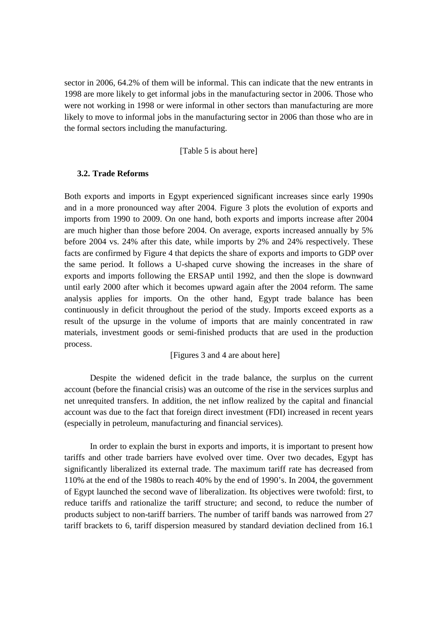sector in 2006, 64.2% of them will be informal. This can indicate that the new entrants in 1998 are more likely to get informal jobs in the manufacturing sector in 2006. Those who were not working in 1998 or were informal in other sectors than manufacturing are more likely to move to informal jobs in the manufacturing sector in 2006 than those who are in the formal sectors including the manufacturing.

[Table 5 is about here]

## **3.2. Trade Reforms**

Both exports and imports in Egypt experienced significant increases since early 1990s and in a more pronounced way after 2004. Figure 3 plots the evolution of exports and imports from 1990 to 2009. On one hand, both exports and imports increase after 2004 are much higher than those before 2004. On average, exports increased annually by 5% before 2004 vs. 24% after this date, while imports by 2% and 24% respectively. These facts are confirmed by Figure 4 that depicts the share of exports and imports to GDP over the same period. It follows a U-shaped curve showing the increases in the share of exports and imports following the ERSAP until 1992, and then the slope is downward until early 2000 after which it becomes upward again after the 2004 reform. The same analysis applies for imports. On the other hand, Egypt trade balance has been continuously in deficit throughout the period of the study. Imports exceed exports as a result of the upsurge in the volume of imports that are mainly concentrated in raw materials, investment goods or semi-finished products that are used in the production process.

[Figures 3 and 4 are about here]

Despite the widened deficit in the trade balance, the surplus on the current account (before the financial crisis) was an outcome of the rise in the services surplus and net unrequited transfers. In addition, the net inflow realized by the capital and financial account was due to the fact that foreign direct investment (FDI) increased in recent years (especially in petroleum, manufacturing and financial services).

In order to explain the burst in exports and imports, it is important to present how tariffs and other trade barriers have evolved over time. Over two decades, Egypt has significantly liberalized its external trade. The maximum tariff rate has decreased from 110% at the end of the 1980s to reach 40% by the end of 1990's. In 2004, the government of Egypt launched the second wave of liberalization. Its objectives were twofold: first, to reduce tariffs and rationalize the tariff structure; and second, to reduce the number of products subject to non-tariff barriers. The number of tariff bands was narrowed from 27 tariff brackets to 6, tariff dispersion measured by standard deviation declined from 16.1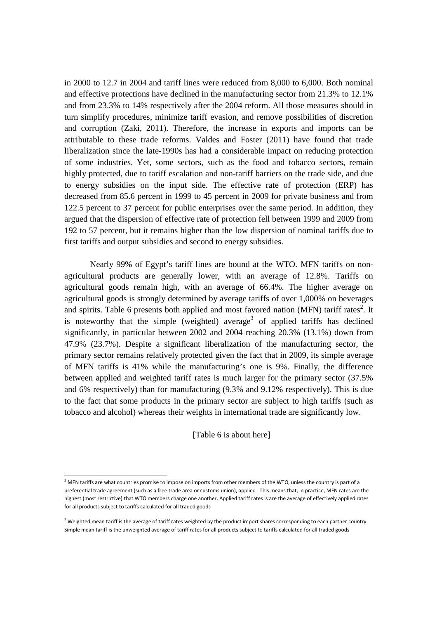in 2000 to 12.7 in 2004 and tariff lines were reduced from 8,000 to 6,000. Both nominal and effective protections have declined in the manufacturing sector from 21.3% to 12.1% and from 23.3% to 14% respectively after the 2004 reform. All those measures should in turn simplify procedures, minimize tariff evasion, and remove possibilities of discretion and corruption (Zaki, 2011). Therefore, the increase in exports and imports can be attributable to these trade reforms. Valdes and Foster (2011) have found that trade liberalization since the late-1990s has had a considerable impact on reducing protection of some industries. Yet, some sectors, such as the food and tobacco sectors, remain highly protected, due to tariff escalation and non-tariff barriers on the trade side, and due to energy subsidies on the input side. The effective rate of protection (ERP) has decreased from 85.6 percent in 1999 to 45 percent in 2009 for private business and from 122.5 percent to 37 percent for public enterprises over the same period. In addition, they argued that the dispersion of effective rate of protection fell between 1999 and 2009 from 192 to 57 percent, but it remains higher than the low dispersion of nominal tariffs due to first tariffs and output subsidies and second to energy subsidies.

Nearly 99% of Egypt's tariff lines are bound at the WTO. MFN tariffs on nonagricultural products are generally lower, with an average of 12.8%. Tariffs on agricultural goods remain high, with an average of 66.4%. The higher average on agricultural goods is strongly determined by average tariffs of over 1,000% on beverages and spirits. Table 6 presents both applied and most favored nation (MFN) tariff rates<sup>2</sup>. It is noteworthy that the simple (weighted) average<sup>3</sup> of applied tariffs has declined significantly, in particular between 2002 and 2004 reaching 20.3% (13.1%) down from 47.9% (23.7%). Despite a significant liberalization of the manufacturing sector, the primary sector remains relatively protected given the fact that in 2009, its simple average of MFN tariffs is 41% while the manufacturing's one is 9%. Finally, the difference between applied and weighted tariff rates is much larger for the primary sector (37.5% and 6% respectively) than for manufacturing (9.3% and 9.12% respectively). This is due to the fact that some products in the primary sector are subject to high tariffs (such as tobacco and alcohol) whereas their weights in international trade are significantly low.

[Table 6 is about here]

<u>.</u>

 $^2$  MFN tariffs are what countries promise to impose on imports from other members of the WTO, unless the country is part of a preferential trade agreement (such as a free trade area or customs union), applied . This means that, in practice, MFN rates are the highest (most restrictive) that WTO members charge one another. Applied tariff rates is are the average of effectively applied rates for all products subject to tariffs calculated for all traded goods

 $3$  Weighted mean tariff is the average of tariff rates weighted by the product import shares corresponding to each partner country. Simple mean tariff is the unweighted average of tariff rates for all products subject to tariffs calculated for all traded goods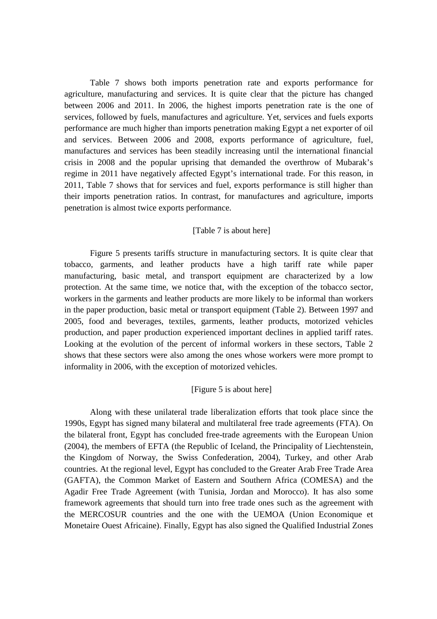Table 7 shows both imports penetration rate and exports performance for agriculture, manufacturing and services. It is quite clear that the picture has changed between 2006 and 2011. In 2006, the highest imports penetration rate is the one of services, followed by fuels, manufactures and agriculture. Yet, services and fuels exports performance are much higher than imports penetration making Egypt a net exporter of oil and services. Between 2006 and 2008, exports performance of agriculture, fuel, manufactures and services has been steadily increasing until the international financial crisis in 2008 and the popular uprising that demanded the overthrow of Mubarak's regime in 2011 have negatively affected Egypt's international trade. For this reason, in 2011, Table 7 shows that for services and fuel, exports performance is still higher than their imports penetration ratios. In contrast, for manufactures and agriculture, imports penetration is almost twice exports performance.

## [Table 7 is about here]

Figure 5 presents tariffs structure in manufacturing sectors. It is quite clear that tobacco, garments, and leather products have a high tariff rate while paper manufacturing, basic metal, and transport equipment are characterized by a low protection. At the same time, we notice that, with the exception of the tobacco sector, workers in the garments and leather products are more likely to be informal than workers in the paper production, basic metal or transport equipment (Table 2). Between 1997 and 2005, food and beverages, textiles, garments, leather products, motorized vehicles production, and paper production experienced important declines in applied tariff rates. Looking at the evolution of the percent of informal workers in these sectors, Table 2 shows that these sectors were also among the ones whose workers were more prompt to informality in 2006, with the exception of motorized vehicles.

#### [Figure 5 is about here]

Along with these unilateral trade liberalization efforts that took place since the 1990s, Egypt has signed many bilateral and multilateral free trade agreements (FTA). On the bilateral front, Egypt has concluded free-trade agreements with the European Union (2004), the members of EFTA (the Republic of Iceland, the Principality of Liechtenstein, the Kingdom of Norway, the Swiss Confederation, 2004), Turkey, and other Arab countries. At the regional level, Egypt has concluded to the Greater Arab Free Trade Area (GAFTA), the Common Market of Eastern and Southern Africa (COMESA) and the Agadir Free Trade Agreement (with Tunisia, Jordan and Morocco). It has also some framework agreements that should turn into free trade ones such as the agreement with the MERCOSUR countries and the one with the UEMOA (Union Economique et Monetaire Ouest Africaine). Finally, Egypt has also signed the Qualified Industrial Zones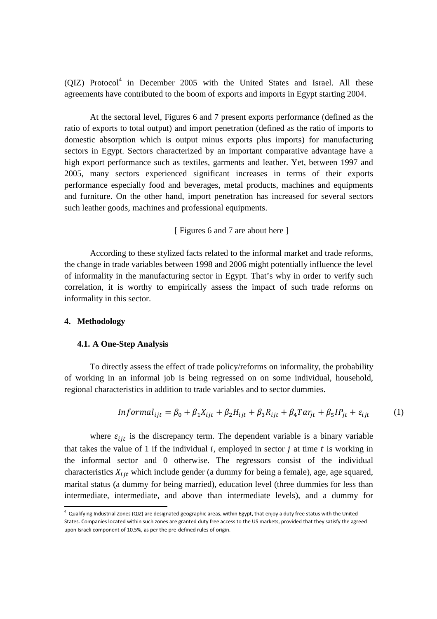$\left($ QIZ) Protocol<sup>4</sup> in December 2005 with the United States and Israel. All these agreements have contributed to the boom of exports and imports in Egypt starting 2004.

At the sectoral level, Figures 6 and 7 present exports performance (defined as the ratio of exports to total output) and import penetration (defined as the ratio of imports to domestic absorption which is output minus exports plus imports) for manufacturing sectors in Egypt. Sectors characterized by an important comparative advantage have a high export performance such as textiles, garments and leather. Yet, between 1997 and 2005, many sectors experienced significant increases in terms of their exports performance especially food and beverages, metal products, machines and equipments and furniture. On the other hand, import penetration has increased for several sectors such leather goods, machines and professional equipments.

[ Figures 6 and 7 are about here ]

According to these stylized facts related to the informal market and trade reforms, the change in trade variables between 1998 and 2006 might potentially influence the level of informality in the manufacturing sector in Egypt. That's why in order to verify such correlation, it is worthy to empirically assess the impact of such trade reforms on informality in this sector.

## **4. Methodology**

<u>.</u>

## **4.1. A One-Step Analysis**

To directly assess the effect of trade policy/reforms on informality, the probability of working in an informal job is being regressed on on some individual, household, regional characteristics in addition to trade variables and to sector dummies.

$$
Informal_{ijt} = \beta_0 + \beta_1 X_{ijt} + \beta_2 H_{ijt} + \beta_3 R_{ijt} + \beta_4 T a r_{jt} + \beta_5 I P_{jt} + \varepsilon_{ijt}
$$
 (1)

where  $\varepsilon_{ijt}$  is the discrepancy term. The dependent variable is a binary variable that takes the value of 1 if the individual  $i$ , employed in sector  $j$  at time  $t$  is working in the informal sector and 0 otherwise. The regressors consist of the individual characteristics  $X_{ijt}$  which include gender (a dummy for being a female), age, age squared, marital status (a dummy for being married), education level (three dummies for less than intermediate, intermediate, and above than intermediate levels), and a dummy for

 $^4$  Qualifying Industrial Zones (QIZ) are designated geographic areas, within Egypt, that enjoy a duty free status with the United States. Companies located within such zones are granted duty free access to the US markets, provided that they satisfy the agreed upon Israeli component of 10.5%, as per the pre-defined rules of origin.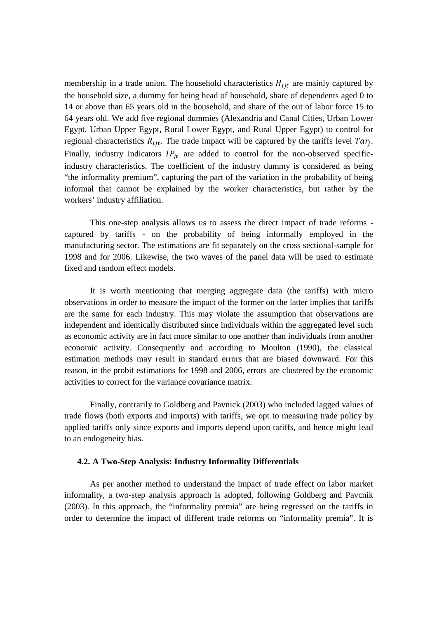membership in a trade union. The household characteristics  $H_{ijt}$  are mainly captured by the household size, a dummy for being head of household, share of dependents aged 0 to 14 or above than 65 years old in the household, and share of the out of labor force 15 to 64 years old. We add five regional dummies (Alexandria and Canal Cities, Urban Lower Egypt, Urban Upper Egypt, Rural Lower Egypt, and Rural Upper Egypt) to control for regional characteristics  $R_{ijt}$ . The trade impact will be captured by the tariffs level  $Tar_j$ . Finally, industry indicators  $IP_{jt}$  are added to control for the non-observed specificindustry characteristics. The coefficient of the industry dummy is considered as being "the informality premium", capturing the part of the variation in the probability of being informal that cannot be explained by the worker characteristics, but rather by the workers' industry affiliation.

This one-step analysis allows us to assess the direct impact of trade reforms captured by tariffs - on the probability of being informally employed in the manufacturing sector. The estimations are fit separately on the cross sectional-sample for 1998 and for 2006. Likewise, the two waves of the panel data will be used to estimate fixed and random effect models.

It is worth mentioning that merging aggregate data (the tariffs) with micro observations in order to measure the impact of the former on the latter implies that tariffs are the same for each industry. This may violate the assumption that observations are independent and identically distributed since individuals within the aggregated level such as economic activity are in fact more similar to one another than individuals from another economic activity. Consequently and according to Moulton (1990), the classical estimation methods may result in standard errors that are biased downward. For this reason, in the probit estimations for 1998 and 2006, errors are clustered by the economic activities to correct for the variance covariance matrix.

Finally, contrarily to Goldberg and Pavnick (2003) who included lagged values of trade flows (both exports and imports) with tariffs, we opt to measuring trade policy by applied tariffs only since exports and imports depend upon tariffs, and hence might lead to an endogeneity bias.

#### **4.2. A Two-Step Analysis: Industry Informality Differentials**

As per another method to understand the impact of trade effect on labor market informality, a two-step analysis approach is adopted, following Goldberg and Pavcnik (2003). In this approach, the "informality premia" are being regressed on the tariffs in order to determine the impact of different trade reforms on "informality premia". It is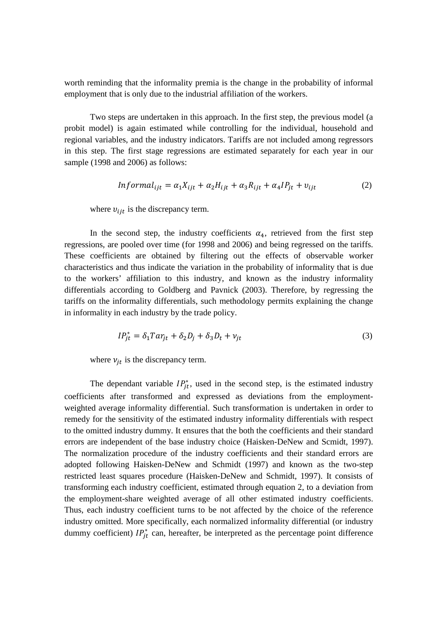worth reminding that the informality premia is the change in the probability of informal employment that is only due to the industrial affiliation of the workers.

Two steps are undertaken in this approach. In the first step, the previous model (a probit model) is again estimated while controlling for the individual, household and regional variables, and the industry indicators. Tariffs are not included among regressors in this step. The first stage regressions are estimated separately for each year in our sample (1998 and 2006) as follows:

$$
Informal_{ijt} = \alpha_1 X_{ijt} + \alpha_2 H_{ijt} + \alpha_3 R_{ijt} + \alpha_4 I P_{jt} + v_{ijt}
$$
 (2)

where  $v_{ijt}$  is the discrepancy term.

In the second step, the industry coefficients  $\alpha_4$ , retrieved from the first step regressions, are pooled over time (for 1998 and 2006) and being regressed on the tariffs. These coefficients are obtained by filtering out the effects of observable worker characteristics and thus indicate the variation in the probability of informality that is due to the workers' affiliation to this industry, and known as the industry informality differentials according to Goldberg and Pavnick (2003). Therefore, by regressing the tariffs on the informality differentials, such methodology permits explaining the change in informality in each industry by the trade policy.

$$
IP_{jt}^* = \delta_1 T a r_{jt} + \delta_2 D_j + \delta_3 D_t + v_{jt}
$$
\n<sup>(3)</sup>

where  $v_{jt}$  is the discrepancy term.

The dependant variable  $IP_{jt}^*$ , used in the second step, is the estimated industry coefficients after transformed and expressed as deviations from the employmentweighted average informality differential. Such transformation is undertaken in order to remedy for the sensitivity of the estimated industry informality differentials with respect to the omitted industry dummy. It ensures that the both the coefficients and their standard errors are independent of the base industry choice (Haisken-DeNew and Scmidt, 1997). The normalization procedure of the industry coefficients and their standard errors are adopted following Haisken-DeNew and Schmidt (1997) and known as the two-step restricted least squares procedure (Haisken-DeNew and Schmidt, 1997). It consists of transforming each industry coefficient, estimated through equation 2, to a deviation from the employment-share weighted average of all other estimated industry coefficients. Thus, each industry coefficient turns to be not affected by the choice of the reference industry omitted. More specifically, each normalized informality differential (or industry dummy coefficient)  $IP_{jt}^{*}$  can, hereafter, be interpreted as the percentage point difference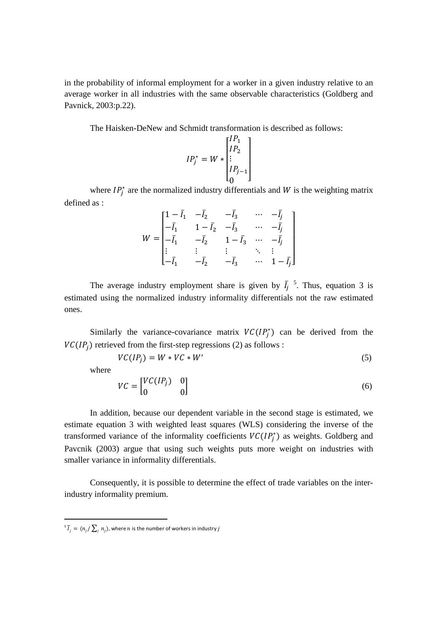in the probability of informal employment for a worker in a given industry relative to an average worker in all industries with the same observable characteristics (Goldberg and Pavnick, 2003:p.22).

The Haisken-DeNew and Schmidt transformation is described as follows:

$$
IP_j^* = W * \begin{bmatrix} IP_1 \\ IP_2 \\ \vdots \\ IP_{j-1} \\ 0 \end{bmatrix}
$$

where  $IP_j^*$  are the normalized industry differentials and W is the weighting matrix defined as :

$$
W = \begin{bmatrix} 1 - \bar{I}_1 & -\bar{I}_2 & -\bar{I}_3 & \cdots & -\bar{I}_j \\ -\bar{I}_1 & 1 - \bar{I}_2 & -\bar{I}_3 & \cdots & -\bar{I}_j \\ -\bar{I}_1 & -\bar{I}_2 & 1 - \bar{I}_3 & \cdots & -\bar{I}_j \\ \vdots & \vdots & \vdots & \ddots & \vdots \\ -\bar{I}_1 & -\bar{I}_2 & -\bar{I}_3 & \cdots & 1 - \bar{I}_j \end{bmatrix}
$$

The average industry employment share is given by  $\bar{I}_j$  $5$ . Thus, equation 3 is estimated using the normalized industry informality differentials not the raw estimated ones.

Similarly the variance-covariance matrix  $VC(IP_j^*)$  can be derived from the  $VC(IP<sub>j</sub>)$  retrieved from the first-step regressions (2) as follows :

$$
VC(IP_j) = W * VC * W'
$$
\n<sup>(5)</sup>

where

<u>.</u>

$$
VC = \begin{bmatrix} VC(IP_j) & 0\\ 0 & 0 \end{bmatrix} \tag{6}
$$

In addition, because our dependent variable in the second stage is estimated, we estimate equation 3 with weighted least squares (WLS) considering the inverse of the transformed variance of the informality coefficients  $VC(IP_j^*)$  as weights. Goldberg and Pavcnik (2003) argue that using such weights puts more weight on industries with smaller variance in informality differentials.

Consequently, it is possible to determine the effect of trade variables on the interindustry informality premium.

 $^5\,\overline{I}_j\,=\,(n_{j}/\sum_{j}\,n_{j})$ , where  $n$  is the number of workers in industry  $j$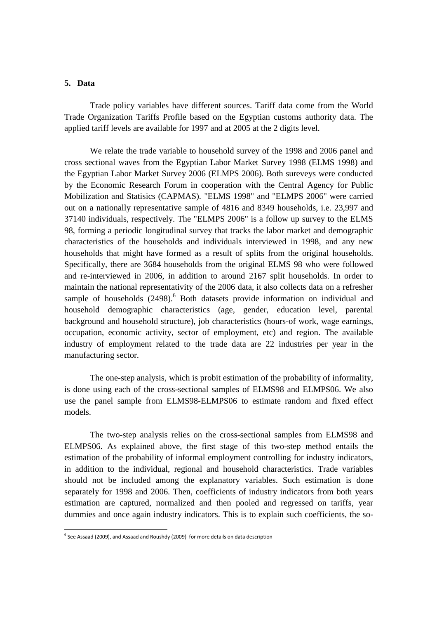## **5. Data**

.<br>-

Trade policy variables have different sources. Tariff data come from the World Trade Organization Tariffs Profile based on the Egyptian customs authority data. The applied tariff levels are available for 1997 and at 2005 at the 2 digits level.

We relate the trade variable to household survey of the 1998 and 2006 panel and cross sectional waves from the Egyptian Labor Market Survey 1998 (ELMS 1998) and the Egyptian Labor Market Survey 2006 (ELMPS 2006). Both sureveys were conducted by the Economic Research Forum in cooperation with the Central Agency for Public Mobilization and Statisics (CAPMAS). "ELMS 1998" and "ELMPS 2006" were carried out on a nationally representative sample of 4816 and 8349 households, i.e. 23,997 and 37140 individuals, respectively. The "ELMPS 2006" is a follow up survey to the ELMS 98, forming a periodic longitudinal survey that tracks the labor market and demographic characteristics of the households and individuals interviewed in 1998, and any new households that might have formed as a result of splits from the original households. Specifically, there are 3684 households from the original ELMS 98 who were followed and re-interviewed in 2006, in addition to around 2167 split households. In order to maintain the national representativity of the 2006 data, it also collects data on a refresher sample of households  $(2498)$ .<sup>6</sup> Both datasets provide information on individual and household demographic characteristics (age, gender, education level, parental background and household structure), job characteristics (hours-of work, wage earnings, occupation, economic activity, sector of employment, etc) and region. The available industry of employment related to the trade data are 22 industries per year in the manufacturing sector.

The one-step analysis, which is probit estimation of the probability of informality, is done using each of the cross-sectional samples of ELMS98 and ELMPS06. We also use the panel sample from ELMS98-ELMPS06 to estimate random and fixed effect models.

The two-step analysis relies on the cross-sectional samples from ELMS98 and ELMPS06. As explained above, the first stage of this two-step method entails the estimation of the probability of informal employment controlling for industry indicators, in addition to the individual, regional and household characteristics. Trade variables should not be included among the explanatory variables. Such estimation is done separately for 1998 and 2006. Then, coefficients of industry indicators from both years estimation are captured, normalized and then pooled and regressed on tariffs, year dummies and once again industry indicators. This is to explain such coefficients, the so-

 $^6$  See Assaad (2009), and Assaad and Roushdy (2009) for more details on data description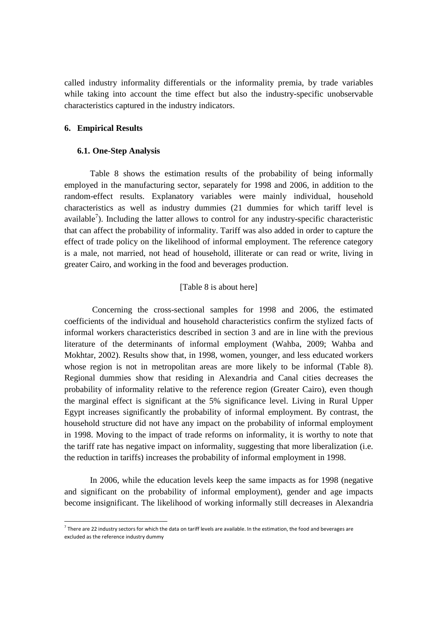called industry informality differentials or the informality premia, by trade variables while taking into account the time effect but also the industry-specific unobservable characteristics captured in the industry indicators.

## **6. Empirical Results**

<u>.</u>

## **6.1. One-Step Analysis**

 Table 8 shows the estimation results of the probability of being informally employed in the manufacturing sector, separately for 1998 and 2006, in addition to the random-effect results. Explanatory variables were mainly individual, household characteristics as well as industry dummies (21 dummies for which tariff level is available<sup>7</sup>). Including the latter allows to control for any industry-specific characteristic that can affect the probability of informality. Tariff was also added in order to capture the effect of trade policy on the likelihood of informal employment. The reference category is a male, not married, not head of household, illiterate or can read or write, living in greater Cairo, and working in the food and beverages production.

## [Table 8 is about here]

 Concerning the cross-sectional samples for 1998 and 2006, the estimated coefficients of the individual and household characteristics confirm the stylized facts of informal workers characteristics described in section 3 and are in line with the previous literature of the determinants of informal employment (Wahba, 2009; Wahba and Mokhtar, 2002). Results show that, in 1998, women, younger, and less educated workers whose region is not in metropolitan areas are more likely to be informal (Table 8). Regional dummies show that residing in Alexandria and Canal cities decreases the probability of informality relative to the reference region (Greater Cairo), even though the marginal effect is significant at the 5% significance level. Living in Rural Upper Egypt increases significantly the probability of informal employment. By contrast, the household structure did not have any impact on the probability of informal employment in 1998. Moving to the impact of trade reforms on informality, it is worthy to note that the tariff rate has negative impact on informality, suggesting that more liberalization (i.e. the reduction in tariffs) increases the probability of informal employment in 1998.

In 2006, while the education levels keep the same impacts as for 1998 (negative and significant on the probability of informal employment), gender and age impacts become insignificant. The likelihood of working informally still decreases in Alexandria

 $^7$  There are 22 industry sectors for which the data on tariff levels are available. In the estimation, the food and beverages are excluded as the reference industry dummy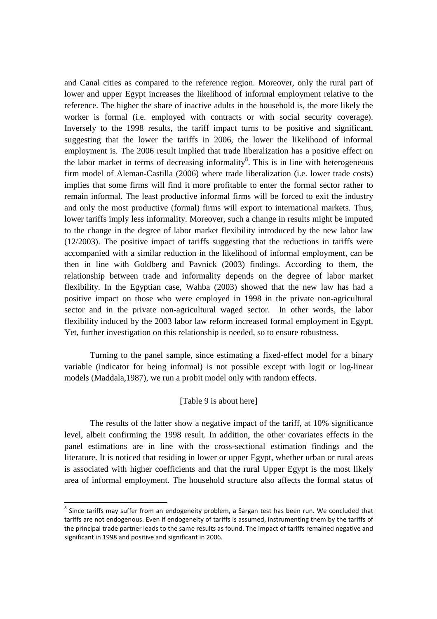and Canal cities as compared to the reference region. Moreover, only the rural part of lower and upper Egypt increases the likelihood of informal employment relative to the reference. The higher the share of inactive adults in the household is, the more likely the worker is formal (i.e. employed with contracts or with social security coverage). Inversely to the 1998 results, the tariff impact turns to be positive and significant, suggesting that the lower the tariffs in 2006, the lower the likelihood of informal employment is. The 2006 result implied that trade liberalization has a positive effect on the labor market in terms of decreasing informality<sup>8</sup>. This is in line with heterogeneous firm model of Aleman-Castilla (2006) where trade liberalization (i.e. lower trade costs) implies that some firms will find it more profitable to enter the formal sector rather to remain informal. The least productive informal firms will be forced to exit the industry and only the most productive (formal) firms will export to international markets. Thus, lower tariffs imply less informality. Moreover, such a change in results might be imputed to the change in the degree of labor market flexibility introduced by the new labor law (12/2003). The positive impact of tariffs suggesting that the reductions in tariffs were accompanied with a similar reduction in the likelihood of informal employment, can be then in line with Goldberg and Pavnick (2003) findings. According to them, the relationship between trade and informality depends on the degree of labor market flexibility. In the Egyptian case, Wahba (2003) showed that the new law has had a positive impact on those who were employed in 1998 in the private non-agricultural sector and in the private non-agricultural waged sector. In other words, the labor flexibility induced by the 2003 labor law reform increased formal employment in Egypt. Yet, further investigation on this relationship is needed, so to ensure robustness.

Turning to the panel sample, since estimating a fixed-effect model for a binary variable (indicator for being informal) is not possible except with logit or log-linear models (Maddala,1987), we run a probit model only with random effects.

## [Table 9 is about here]

The results of the latter show a negative impact of the tariff, at 10% significance level, albeit confirming the 1998 result. In addition, the other covariates effects in the panel estimations are in line with the cross-sectional estimation findings and the literature. It is noticed that residing in lower or upper Egypt, whether urban or rural areas is associated with higher coefficients and that the rural Upper Egypt is the most likely area of informal employment. The household structure also affects the formal status of

<u>.</u>

 $^8$  Since tariffs may suffer from an endogeneity problem, a Sargan test has been run. We concluded that tariffs are not endogenous. Even if endogeneity of tariffs is assumed, instrumenting them by the tariffs of the principal trade partner leads to the same results as found. The impact of tariffs remained negative and significant in 1998 and positive and significant in 2006.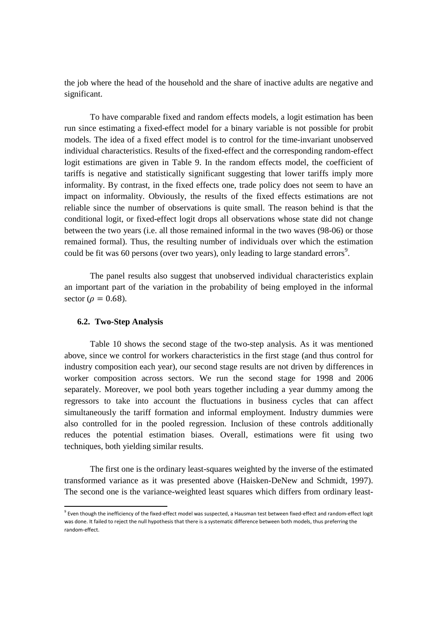the job where the head of the household and the share of inactive adults are negative and significant.

To have comparable fixed and random effects models, a logit estimation has been run since estimating a fixed-effect model for a binary variable is not possible for probit models. The idea of a fixed effect model is to control for the time-invariant unobserved individual characteristics. Results of the fixed-effect and the corresponding random-effect logit estimations are given in Table 9. In the random effects model, the coefficient of tariffs is negative and statistically significant suggesting that lower tariffs imply more informality. By contrast, in the fixed effects one, trade policy does not seem to have an impact on informality. Obviously, the results of the fixed effects estimations are not reliable since the number of observations is quite small. The reason behind is that the conditional logit, or fixed-effect logit drops all observations whose state did not change between the two years (i.e. all those remained informal in the two waves (98-06) or those remained formal). Thus, the resulting number of individuals over which the estimation could be fit was 60 persons (over two years), only leading to large standard errors<sup>9</sup>.

The panel results also suggest that unobserved individual characteristics explain an important part of the variation in the probability of being employed in the informal sector ( $\rho = 0.68$ ).

#### **6.2. Two-Step Analysis**

<u>.</u>

Table 10 shows the second stage of the two-step analysis. As it was mentioned above, since we control for workers characteristics in the first stage (and thus control for industry composition each year), our second stage results are not driven by differences in worker composition across sectors. We run the second stage for 1998 and 2006 separately. Moreover, we pool both years together including a year dummy among the regressors to take into account the fluctuations in business cycles that can affect simultaneously the tariff formation and informal employment. Industry dummies were also controlled for in the pooled regression. Inclusion of these controls additionally reduces the potential estimation biases. Overall, estimations were fit using two techniques, both yielding similar results.

The first one is the ordinary least-squares weighted by the inverse of the estimated transformed variance as it was presented above (Haisken-DeNew and Schmidt, 1997). The second one is the variance-weighted least squares which differs from ordinary least-

<sup>&</sup>lt;sup>9</sup> Even though the inefficiency of the fixed-effect model was suspected, a Hausman test between fixed-effect and random-effect logit was done. It failed to reject the null hypothesis that there is a systematic difference between both models, thus preferring the random-effect.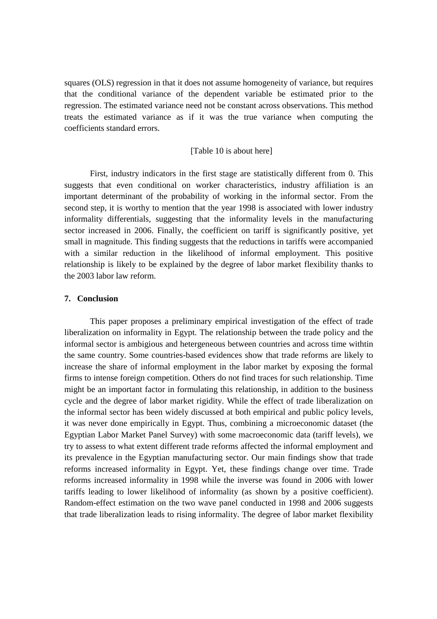squares (OLS) regression in that it does not assume homogeneity of variance, but requires that the conditional variance of the dependent variable be estimated prior to the regression. The estimated variance need not be constant across observations. This method treats the estimated variance as if it was the true variance when computing the coefficients standard errors.

## [Table 10 is about here]

First, industry indicators in the first stage are statistically different from 0. This suggests that even conditional on worker characteristics, industry affiliation is an important determinant of the probability of working in the informal sector. From the second step, it is worthy to mention that the year 1998 is associated with lower industry informality differentials, suggesting that the informality levels in the manufacturing sector increased in 2006. Finally, the coefficient on tariff is significantly positive, yet small in magnitude. This finding suggests that the reductions in tariffs were accompanied with a similar reduction in the likelihood of informal employment. This positive relationship is likely to be explained by the degree of labor market flexibility thanks to the 2003 labor law reform.

## **7. Conclusion**

This paper proposes a preliminary empirical investigation of the effect of trade liberalization on informality in Egypt. The relationship between the trade policy and the informal sector is ambigious and hetergeneous between countries and across time withtin the same country. Some countries-based evidences show that trade reforms are likely to increase the share of informal employment in the labor market by exposing the formal firms to intense foreign competition. Others do not find traces for such relationship. Time might be an important factor in formulating this relationship, in addition to the business cycle and the degree of labor market rigidity. While the effect of trade liberalization on the informal sector has been widely discussed at both empirical and public policy levels, it was never done empirically in Egypt. Thus, combining a microeconomic dataset (the Egyptian Labor Market Panel Survey) with some macroeconomic data (tariff levels), we try to assess to what extent different trade reforms affected the informal employment and its prevalence in the Egyptian manufacturing sector. Our main findings show that trade reforms increased informality in Egypt. Yet, these findings change over time. Trade reforms increased informality in 1998 while the inverse was found in 2006 with lower tariffs leading to lower likelihood of informality (as shown by a positive coefficient). Random-effect estimation on the two wave panel conducted in 1998 and 2006 suggests that trade liberalization leads to rising informality. The degree of labor market flexibility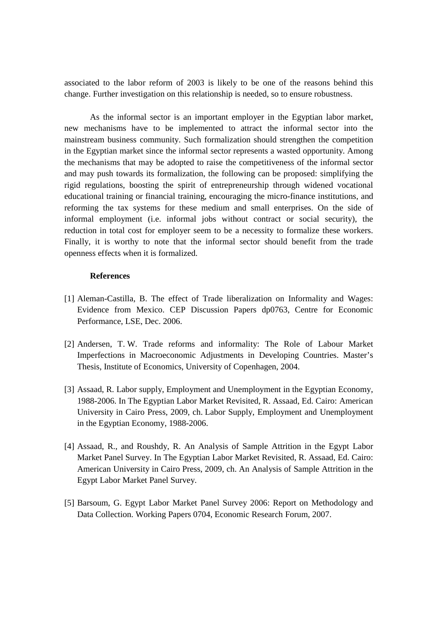associated to the labor reform of 2003 is likely to be one of the reasons behind this change. Further investigation on this relationship is needed, so to ensure robustness.

As the informal sector is an important employer in the Egyptian labor market, new mechanisms have to be implemented to attract the informal sector into the mainstream business community. Such formalization should strengthen the competition in the Egyptian market since the informal sector represents a wasted opportunity. Among the mechanisms that may be adopted to raise the competitiveness of the informal sector and may push towards its formalization, the following can be proposed: simplifying the rigid regulations, boosting the spirit of entrepreneurship through widened vocational educational training or financial training, encouraging the micro-finance institutions, and reforming the tax systems for these medium and small enterprises. On the side of informal employment (i.e. informal jobs without contract or social security), the reduction in total cost for employer seem to be a necessity to formalize these workers. Finally, it is worthy to note that the informal sector should benefit from the trade openness effects when it is formalized.

## **References**

- [1] Aleman-Castilla, B. The effect of Trade liberalization on Informality and Wages: Evidence from Mexico. CEP Discussion Papers dp0763, Centre for Economic Performance, LSE, Dec. 2006.
- [2] Andersen, T. W. Trade reforms and informality: The Role of Labour Market Imperfections in Macroeconomic Adjustments in Developing Countries. Master's Thesis, Institute of Economics, University of Copenhagen, 2004.
- [3] Assaad, R. Labor supply, Employment and Unemployment in the Egyptian Economy, 1988-2006. In The Egyptian Labor Market Revisited, R. Assaad, Ed. Cairo: American University in Cairo Press, 2009, ch. Labor Supply, Employment and Unemployment in the Egyptian Economy, 1988-2006.
- [4] Assaad, R., and Roushdy, R. An Analysis of Sample Attrition in the Egypt Labor Market Panel Survey. In The Egyptian Labor Market Revisited, R. Assaad, Ed. Cairo: American University in Cairo Press, 2009, ch. An Analysis of Sample Attrition in the Egypt Labor Market Panel Survey.
- [5] Barsoum, G. Egypt Labor Market Panel Survey 2006: Report on Methodology and Data Collection. Working Papers 0704, Economic Research Forum, 2007.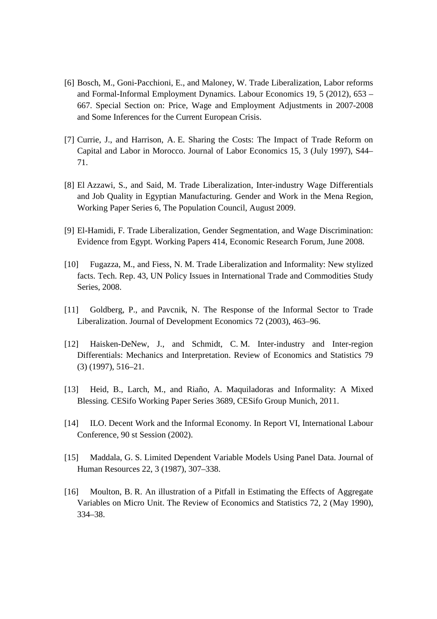- [6] Bosch, M., Goni-Pacchioni, E., and Maloney, W. Trade Liberalization, Labor reforms and Formal-Informal Employment Dynamics. Labour Economics 19, 5 (2012), 653 – 667. Special Section on: Price, Wage and Employment Adjustments in 2007-2008 and Some Inferences for the Current European Crisis.
- [7] Currie, J., and Harrison, A. E. Sharing the Costs: The Impact of Trade Reform on Capital and Labor in Morocco. Journal of Labor Economics 15, 3 (July 1997), S44– 71.
- [8] El Azzawi, S., and Said, M. Trade Liberalization, Inter-industry Wage Differentials and Job Quality in Egyptian Manufacturing. Gender and Work in the Mena Region, Working Paper Series 6, The Population Council, August 2009.
- [9] El-Hamidi, F. Trade Liberalization, Gender Segmentation, and Wage Discrimination: Evidence from Egypt. Working Papers 414, Economic Research Forum, June 2008.
- [10] Fugazza, M., and Fiess, N. M. Trade Liberalization and Informality: New stylized facts. Tech. Rep. 43, UN Policy Issues in International Trade and Commodities Study Series, 2008.
- [11] Goldberg, P., and Pavcnik, N. The Response of the Informal Sector to Trade Liberalization. Journal of Development Economics 72 (2003), 463–96.
- [12] Haisken-DeNew, J., and Schmidt, C. M. Inter-industry and Inter-region Differentials: Mechanics and Interpretation. Review of Economics and Statistics 79 (3) (1997), 516–21.
- [13] Heid, B., Larch, M., and Riaño, A. Maquiladoras and Informality: A Mixed Blessing. CESifo Working Paper Series 3689, CESifo Group Munich, 2011.
- [14] ILO. Decent Work and the Informal Economy. In Report VI, International Labour Conference, 90 st Session (2002).
- [15] Maddala, G. S. Limited Dependent Variable Models Using Panel Data. Journal of Human Resources 22, 3 (1987), 307–338.
- [16] Moulton, B. R. An illustration of a Pitfall in Estimating the Effects of Aggregate Variables on Micro Unit. The Review of Economics and Statistics 72, 2 (May 1990), 334–38.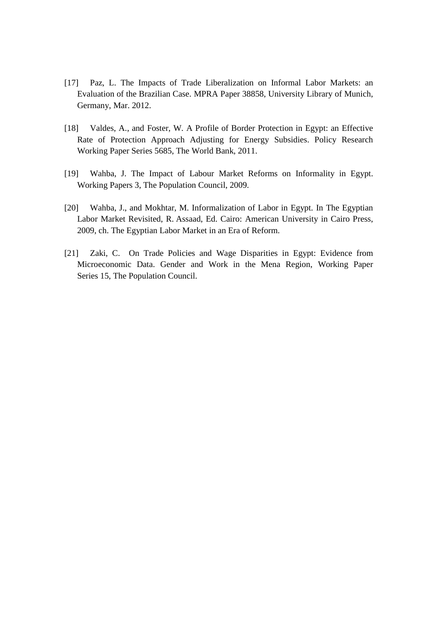- [17] Paz, L. The Impacts of Trade Liberalization on Informal Labor Markets: an Evaluation of the Brazilian Case. MPRA Paper 38858, University Library of Munich, Germany, Mar. 2012.
- [18] Valdes, A., and Foster, W. A Profile of Border Protection in Egypt: an Effective Rate of Protection Approach Adjusting for Energy Subsidies. Policy Research Working Paper Series 5685, The World Bank, 2011.
- [19] Wahba, J. The Impact of Labour Market Reforms on Informality in Egypt. Working Papers 3, The Population Council, 2009.
- [20] Wahba, J., and Mokhtar, M. Informalization of Labor in Egypt. In The Egyptian Labor Market Revisited, R. Assaad, Ed. Cairo: American University in Cairo Press, 2009, ch. The Egyptian Labor Market in an Era of Reform.
- [21] Zaki, C. On Trade Policies and Wage Disparities in Egypt: Evidence from Microeconomic Data. Gender and Work in the Mena Region, Working Paper Series 15, The Population Council.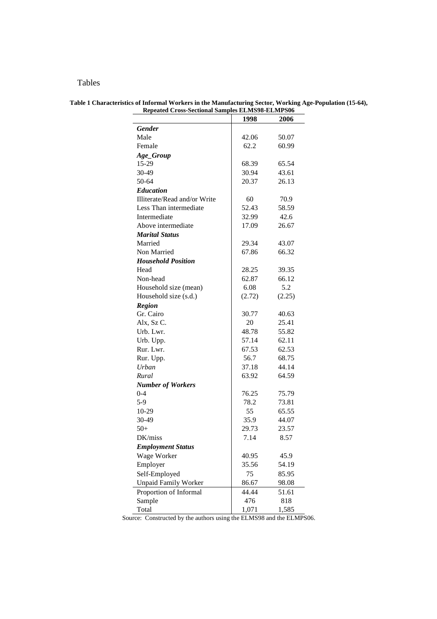## Tables

|                              | 1998   | 2006   |
|------------------------------|--------|--------|
| <b>Gender</b>                |        |        |
| Male                         | 42.06  | 50.07  |
| Female                       | 62.2   | 60.99  |
| Age_Group                    |        |        |
| 15-29                        | 68.39  | 65.54  |
| 30-49                        | 30.94  | 43.61  |
| 50-64                        | 20.37  | 26.13  |
| <b>Education</b>             |        |        |
| Illiterate/Read and/or Write | 60     | 70.9   |
| Less Than intermediate       | 52.43  | 58.59  |
| Intermediate                 | 32.99  | 42.6   |
| Above intermediate           | 17.09  | 26.67  |
| <b>Marital Status</b>        |        |        |
| Married                      | 29.34  | 43.07  |
| Non Married                  | 67.86  | 66.32  |
| <b>Household Position</b>    |        |        |
| Head                         | 28.25  | 39.35  |
| Non-head                     | 62.87  | 66.12  |
| Household size (mean)        | 6.08   | 5.2    |
| Household size (s.d.)        | (2.72) | (2.25) |
| <b>Region</b>                |        |        |
| Gr. Cairo                    | 30.77  | 40.63  |
| Alx, Sz C.                   | 20     | 25.41  |
| Urb. Lwr.                    | 48.78  | 55.82  |
| Urb. Upp.                    | 57.14  | 62.11  |
| Rur. Lwr.                    | 67.53  | 62.53  |
| Rur. Upp.                    | 56.7   | 68.75  |
| Urban                        | 37.18  | 44.14  |
| Rural                        | 63.92  | 64.59  |
| <b>Number of Workers</b>     |        |        |
| $0 - 4$                      | 76.25  | 75.79  |
| $5-9$                        | 78.2   | 73.81  |
| 10-29                        | 55     | 65.55  |
| 30-49                        | 35.9   | 44.07  |
| $50+$                        | 29.73  | 23.57  |
| DK/miss                      | 7.14   | 8.57   |
| <b>Employment Status</b>     |        |        |
| Wage Worker                  | 40.95  | 45.9   |
| Employer                     | 35.56  | 54.19  |
| Self-Employed                | 75     | 85.95  |
| <b>Unpaid Family Worker</b>  | 86.67  | 98.08  |
| Proportion of Informal       | 44.44  | 51.61  |
| Sample                       | 476    | 818    |
| Total                        | 1,071  | 1,585  |

#### **Table 1 Characteristics of Informal Workers in the Manufacturing Sector, Working Age-Population (15-64), Repeated Cross-Sectional Samples ELMS98-ELMPS06**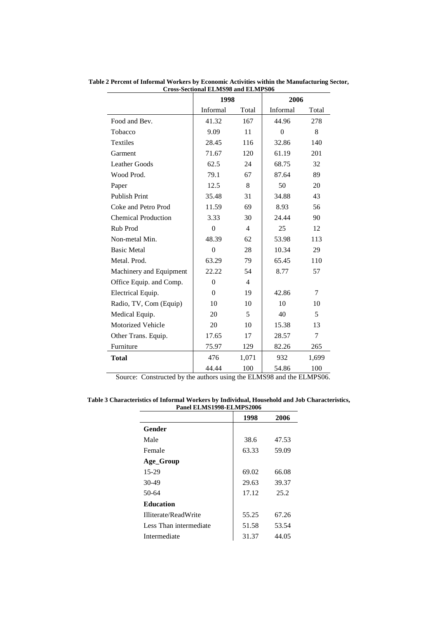|                            | 1998     |                | 2006     |       |
|----------------------------|----------|----------------|----------|-------|
|                            | Informal | Total          | Informal | Total |
| Food and Bev.              | 41.32    | 167            | 44.96    | 278   |
| Tobacco                    | 9.09     | 11             | $\theta$ | 8     |
| <b>Textiles</b>            | 28.45    | 116            | 32.86    | 140   |
| Garment                    | 71.67    | 120            | 61.19    | 201   |
| <b>Leather Goods</b>       | 62.5     | 24             | 68.75    | 32    |
| Wood Prod.                 | 79.1     | 67             | 87.64    | 89    |
| Paper                      | 12.5     | 8              | 50       | 20    |
| <b>Publish Print</b>       | 35.48    | 31             | 34.88    | 43    |
| Coke and Petro Prod        | 11.59    | 69             | 8.93     | 56    |
| <b>Chemical Production</b> | 3.33     | 30             | 24.44    | 90    |
| Rub Prod                   | $\theta$ | $\overline{4}$ | 25       | 12    |
| Non-metal Min.             | 48.39    | 62             | 53.98    | 113   |
| <b>Basic Metal</b>         | $\theta$ | 28             | 10.34    | 29    |
| Metal. Prod.               | 63.29    | 79             | 65.45    | 110   |
| Machinery and Equipment    | 22.22    | 54             | 8.77     | 57    |
| Office Equip. and Comp.    | $\theta$ | $\overline{4}$ |          |       |
| Electrical Equip.          | $\theta$ | 19             | 42.86    | 7     |
| Radio, TV, Com (Equip)     | 10       | 10             | 10       | 10    |
| Medical Equip.             | 20       | 5              | 40       | 5     |
| Motorized Vehicle          | 20       | 10             | 15.38    | 13    |
| Other Trans. Equip.        | 17.65    | 17             | 28.57    | 7     |
| Furniture                  | 75.97    | 129            | 82.26    | 265   |
| <b>Total</b>               | 476      | 1,071          | 932      | 1,699 |
|                            | 44.44    | 100            | 54.86    | 100   |

**Table 2 Percent of Informal Workers by Economic Activities within the Manufacturing Sector, Cross-Sectional ELMS98 and ELMPS06**

**Table 3 Characteristics of Informal Workers by Individual, Household and Job Characteristics, Panel ELMS1998-ELMPS2006** 

| 1 ансі Ерлизтээс Ерли зэссе |       |       |
|-----------------------------|-------|-------|
|                             | 1998  | 2006  |
| Gender                      |       |       |
| Male                        | 38.6  | 47.53 |
| Female                      | 63.33 | 59.09 |
| Age_Group                   |       |       |
| $15-29$                     | 69.02 | 66.08 |
| $30-49$                     | 29.63 | 39.37 |
| 50-64                       | 17.12 | 25.2  |
| <b>Education</b>            |       |       |
| Illiterate/ReadWrite        | 55.25 | 67.26 |
| Less Than intermediate      | 51.58 | 53.54 |
| Intermediate                | 31.37 | 44.05 |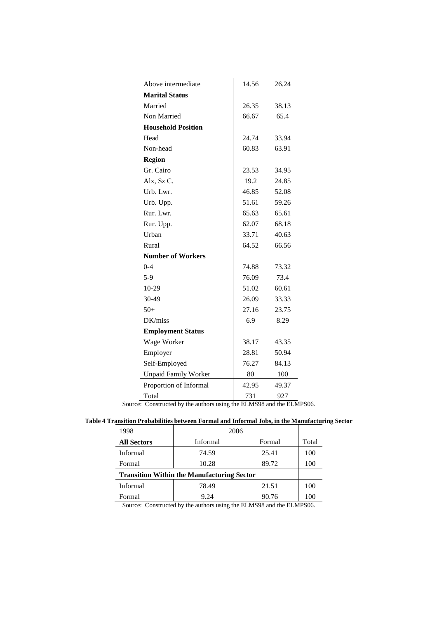| Above intermediate          | 14.56 | 26.24 |
|-----------------------------|-------|-------|
| <b>Marital Status</b>       |       |       |
| Married                     | 26.35 | 38.13 |
| Non Married                 | 66.67 | 65.4  |
| <b>Household Position</b>   |       |       |
| Head                        | 24.74 | 33.94 |
| Non-head                    | 60.83 | 63.91 |
| <b>Region</b>               |       |       |
| Gr. Cairo                   | 23.53 | 34.95 |
| Alx, Sz C.                  | 19.2  | 24.85 |
| Urb. Lwr.                   | 46.85 | 52.08 |
| Urb. Upp.                   | 51.61 | 59.26 |
| Rur. Lwr.                   | 65.63 | 65.61 |
| Rur. Upp.                   | 62.07 | 68.18 |
| Urban                       | 33.71 | 40.63 |
| Rural                       | 64.52 | 66.56 |
| <b>Number of Workers</b>    |       |       |
| $0 - 4$                     | 74.88 | 73.32 |
| $5-9$                       | 76.09 | 73.4  |
| 10-29                       | 51.02 | 60.61 |
| 30-49                       | 26.09 | 33.33 |
| $50+$                       | 27.16 | 23.75 |
| DK/miss                     | 6.9   | 8.29  |
| <b>Employment Status</b>    |       |       |
| Wage Worker                 | 38.17 | 43.35 |
| Employer                    | 28.81 | 50.94 |
| Self-Employed               | 76.27 | 84.13 |
| <b>Unpaid Family Worker</b> | 80    | 100   |
| Proportion of Informal      | 42.95 | 49.37 |
| Total                       | 731   | 927   |

Source: Constructed by the authors using the ELMS98 and the ELMPS06.

| Table 4 Transition Probabilities between Formal and Informal Jobs, in the Manufacturing Sector |  |
|------------------------------------------------------------------------------------------------|--|
|                                                                                                |  |

| 1998                                              | 2006     |        |       |  |
|---------------------------------------------------|----------|--------|-------|--|
| <b>All Sectors</b>                                | Informal | Formal | Total |  |
| Informal                                          | 74.59    | 25.41  | 100   |  |
| Formal                                            | 10.28    | 89.72  | 100   |  |
| <b>Transition Within the Manufacturing Sector</b> |          |        |       |  |
| Informal                                          | 78.49    | 21.51  | 100   |  |
| Formal                                            | 9.24     | 90.76  | 100   |  |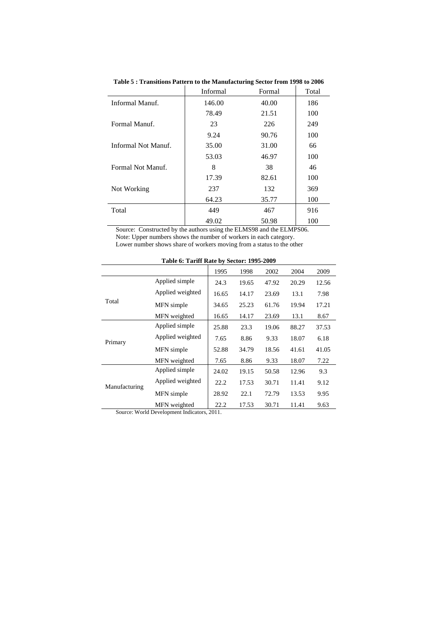|                     | Informal | Formal | Total |
|---------------------|----------|--------|-------|
| Informal Manuf.     | 146.00   | 40.00  | 186   |
|                     | 78.49    | 21.51  | 100   |
| Formal Manuf.       | 23       | 226    | 249   |
|                     | 9.24     | 90.76  | 100   |
| Informal Not Manuf. | 35.00    | 31.00  | 66    |
|                     | 53.03    | 46.97  | 100   |
| Formal Not Manuf.   | 8        | 38     | 46    |
|                     | 17.39    | 82.61  | 100   |
| Not Working         | 237      | 132    | 369   |
|                     | 64.23    | 35.77  | 100   |
| Total               | 449      | 467    | 916   |
|                     | 49.02    | 50.98  | 100   |

**Table 5 : Transitions Pattern to the Manufacturing Sector from 1998 to 2006** 

Source: Constructed by the authors using the ELMS98 and the ELMPS06. Note: Upper numbers shows the number of workers in each category. Lower number shows share of workers moving from a status to the other

|               | $14000$ $0.141$ $0.1400$ $0.900$ $0.0001$ $0.1990$ $0.000$ |       |       |       |       |       |
|---------------|------------------------------------------------------------|-------|-------|-------|-------|-------|
|               |                                                            | 1995  | 1998  | 2002  | 2004  | 2009  |
|               | Applied simple                                             | 24.3  | 19.65 | 47.92 | 20.29 | 12.56 |
|               | Applied weighted                                           | 16.65 | 14.17 | 23.69 | 13.1  | 7.98  |
| Total         | MFN simple                                                 | 34.65 | 25.23 | 61.76 | 19.94 | 17.21 |
|               | MFN weighted                                               | 16.65 | 14.17 | 23.69 | 13.1  | 8.67  |
|               | Applied simple                                             | 25.88 | 23.3  | 19.06 | 88.27 | 37.53 |
| Primary       | Applied weighted                                           | 7.65  | 8.86  | 9.33  | 18.07 | 6.18  |
|               | MFN simple                                                 | 52.88 | 34.79 | 18.56 | 41.61 | 41.05 |
|               | MFN weighted                                               | 7.65  | 8.86  | 9.33  | 18.07 | 7.22  |
|               | Applied simple                                             | 24.02 | 19.15 | 50.58 | 12.96 | 9.3   |
| Manufacturing | Applied weighted                                           | 22.2  | 17.53 | 30.71 | 11.41 | 9.12  |
|               | MFN simple                                                 | 28.92 | 22.1  | 72.79 | 13.53 | 9.95  |
|               | MFN weighted                                               | 22.2  | 17.53 | 30.71 | 11.41 | 9.63  |

**Table 6: Tariff Rate by Sector: 1995-2009** 

Source: World Development Indicators, 2011.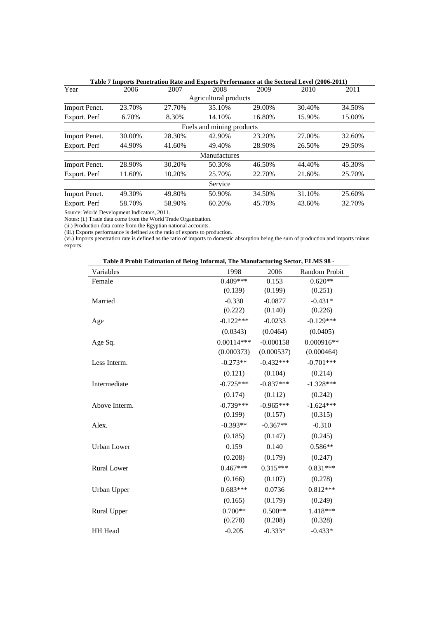|                      |              | Table 7 Imports Penetration Rate and Exports Performance at the Sectoral Level (2006-2011) |                           |        |        |        |
|----------------------|--------------|--------------------------------------------------------------------------------------------|---------------------------|--------|--------|--------|
| Year                 | 2006         | 2007                                                                                       | 2008                      | 2009   | 2010   | 2011   |
|                      |              |                                                                                            | Agricultural products     |        |        |        |
| Import Penet.        | 23.70%       | 27.70%                                                                                     | 35.10%                    | 29.00% | 30.40% | 34.50% |
| Export. Perf         | 6.70%        | 8.30%                                                                                      | 14.10%                    | 16.80% | 15.90% | 15.00% |
|                      |              |                                                                                            | Fuels and mining products |        |        |        |
| Import Penet.        | 30.00%       | 28.30%                                                                                     | 42.90%                    | 23.20% | 27.00% | 32.60% |
| Export. Perf         | 44.90%       | 41.60%                                                                                     | 49.40%                    | 28.90% | 26.50% | 29.50% |
|                      |              |                                                                                            | Manufactures              |        |        |        |
| Import Penet.        | 28.90%       | 30.20%                                                                                     | 50.30%                    | 46.50% | 44.40% | 45.30% |
| Export. Perf         | 11.60%       | 10.20%                                                                                     | 25.70%                    | 22.70% | 21.60% | 25.70% |
|                      |              |                                                                                            | Service                   |        |        |        |
| <b>Import Penet.</b> | 49.30%       | 49.80%                                                                                     | 50.90%                    | 34.50% | 31.10% | 25.60% |
| Export. Perf         | 58.70%       | 58.90%                                                                                     | 60.20%                    | 45.70% | 43.60% | 32.70% |
| $\mathbf{v}$         | $\mathbf{r}$ | 0.011                                                                                      |                           |        |        |        |

Source: World Development Indicators, 2011.

Notes: (i.) Trade data come from the World Trade Organization.

(ii.) Production data come from the Egyptian national accounts.

(iii.) Exports performance is defined as the ratio of exports to production.

(vi.) Imports penetration rate is defined as the ratio of imports to domestic absorption being the sum of production and imports minus exports.

| Table 8 Probit Estimation of Being Informal, The Manufacturing Sector, ELMS 98 - |              |             |               |  |  |
|----------------------------------------------------------------------------------|--------------|-------------|---------------|--|--|
| Variables                                                                        | 1998         | 2006        | Random Probit |  |  |
| Female                                                                           | $0.409***$   | 0.153       | $0.620**$     |  |  |
|                                                                                  | (0.139)      | (0.199)     | (0.251)       |  |  |
| Married                                                                          | $-0.330$     | $-0.0877$   | $-0.431*$     |  |  |
|                                                                                  | (0.222)      | (0.140)     | (0.226)       |  |  |
| Age                                                                              | $-0.122***$  | $-0.0233$   | $-0.129***$   |  |  |
|                                                                                  | (0.0343)     | (0.0464)    | (0.0405)      |  |  |
| Age Sq.                                                                          | $0.00114***$ | $-0.000158$ | $0.000916**$  |  |  |
|                                                                                  | (0.000373)   | (0.000537)  | (0.000464)    |  |  |
| Less Interm.                                                                     | $-0.273**$   | $-0.432***$ | $-0.701***$   |  |  |
|                                                                                  | (0.121)      | (0.104)     | (0.214)       |  |  |
| Intermediate                                                                     | $-0.725***$  | $-0.837***$ | $-1.328***$   |  |  |
|                                                                                  | (0.174)      | (0.112)     | (0.242)       |  |  |
| Above Interm.                                                                    | $-0.739***$  | $-0.965***$ | $-1.624***$   |  |  |
|                                                                                  | (0.199)      | (0.157)     | (0.315)       |  |  |
| Alex.                                                                            | $-0.393**$   | $-0.367**$  | $-0.310$      |  |  |
|                                                                                  | (0.185)      | (0.147)     | (0.245)       |  |  |
| Urban Lower                                                                      | 0.159        | 0.140       | $0.586**$     |  |  |
|                                                                                  | (0.208)      | (0.179)     | (0.247)       |  |  |
| <b>Rural Lower</b>                                                               | $0.467***$   | $0.315***$  | $0.831***$    |  |  |
|                                                                                  | (0.166)      | (0.107)     | (0.278)       |  |  |
| Urban Upper                                                                      | $0.683***$   | 0.0736      | $0.812***$    |  |  |
|                                                                                  | (0.165)      | (0.179)     | (0.249)       |  |  |
| Rural Upper                                                                      | $0.700**$    | $0.500**$   | 1.418***      |  |  |
|                                                                                  | (0.278)      | (0.208)     | (0.328)       |  |  |
| HH Head                                                                          | $-0.205$     | $-0.333*$   | $-0.433*$     |  |  |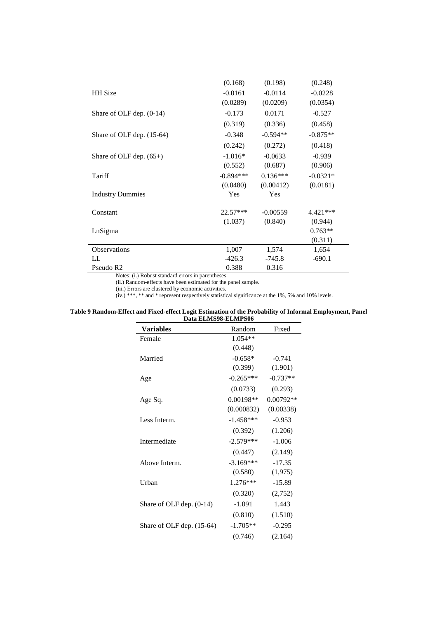|                            | (0.168)     | (0.198)    | (0.248)    |
|----------------------------|-------------|------------|------------|
| HH Size                    | $-0.0161$   | $-0.0114$  | $-0.0228$  |
|                            | (0.0289)    | (0.0209)   | (0.0354)   |
| Share of OLF dep. $(0-14)$ | $-0.173$    | 0.0171     | $-0.527$   |
|                            | (0.319)     | (0.336)    | (0.458)    |
| Share of OLF dep. (15-64)  | $-0.348$    | $-0.594**$ | $-0.875**$ |
|                            | (0.242)     | (0.272)    | (0.418)    |
| Share of OLF dep. $(65+)$  | $-1.016*$   | $-0.0633$  | $-0.939$   |
|                            | (0.552)     | (0.687)    | (0.906)    |
| Tariff                     | $-0.894***$ | $0.136***$ | $-0.0321*$ |
|                            | (0.0480)    | (0.00412)  | (0.0181)   |
| <b>Industry Dummies</b>    | Yes         | Yes        |            |
| Constant                   | $22.57***$  | $-0.00559$ | $4.421***$ |
|                            | (1.037)     | (0.840)    | (0.944)    |
| LnSigma                    |             |            | $0.763**$  |
|                            |             |            | (0.311)    |
| <b>Observations</b>        | 1,007       | 1,574      | 1,654      |
| LL                         | $-426.3$    | $-745.8$   | $-690.1$   |
| Pseudo R <sub>2</sub>      | 0.388       | 0.316      |            |

Notes: (i.) Robust standard errors in parentheses.

(ii.) Random-effects have been estimated for the panel sample.

(iii.) Errors are clustered by economic activities.

(iv.)  $***$ ,  $**$  and  $*$  represent respectively statistical significance at the 1%, 5% and 10% levels.

#### **Table 9 Random-Effect and Fixed-effect Logit Estimation of the Probability of Informal Employment, Panel Data ELMS98-ELMPS06**  j.  $\overline{\phantom{0}}$

| <b>Variables</b>           | Random      | Fixed       |
|----------------------------|-------------|-------------|
| Female                     | $1.054**$   |             |
|                            | (0.448)     |             |
| Married                    | $-0.658*$   | $-0.741$    |
|                            | (0.399)     | (1.901)     |
| Age                        | $-0.265***$ | $-0.737**$  |
|                            | (0.0733)    | (0.293)     |
| Age Sq.                    | 0.00198**   | $0.00792**$ |
|                            | (0.000832)  | (0.00338)   |
| Less Interm.               | $-1.458***$ | $-0.953$    |
|                            | (0.392)     | (1.206)     |
| Intermediate               | $-2.579***$ | $-1.006$    |
|                            | (0.447)     | (2.149)     |
| Above Interm.              | $-3.169***$ | $-17.35$    |
|                            | (0.580)     | (1,975)     |
| Urban                      | $1.276***$  | $-15.89$    |
|                            | (0.320)     | (2,752)     |
| Share of OLF dep. $(0-14)$ | $-1.091$    | 1.443       |
|                            | (0.810)     | (1.510)     |
| Share of OLF dep. (15-64)  | $-1.705**$  | $-0.295$    |
|                            | (0.746)     | (2.164)     |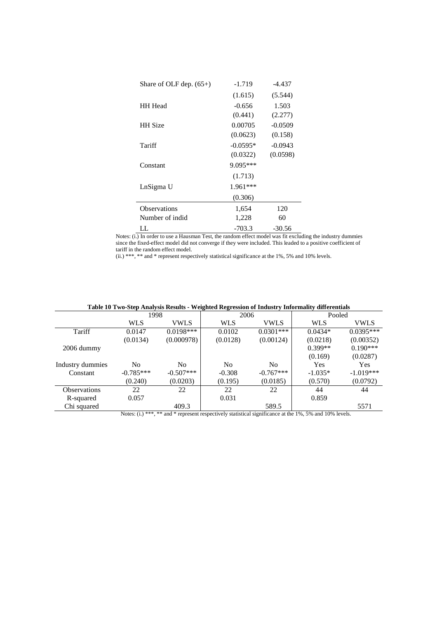| Share of OLF dep. $(65+)$ | $-1.719$   | -4.437    |  |
|---------------------------|------------|-----------|--|
|                           | (1.615)    | (5.544)   |  |
| <b>HH</b> Head            | $-0.656$   | 1.503     |  |
|                           | (0.441)    | (2.277)   |  |
| <b>HH</b> Size            | 0.00705    | $-0.0509$ |  |
|                           | (0.0623)   | (0.158)   |  |
| Tariff                    | $-0.0595*$ | $-0.0943$ |  |
|                           | (0.0322)   | (0.0598)  |  |
| Constant                  | 9.095***   |           |  |
|                           | (1.713)    |           |  |
| LnSigma U                 | $1.961***$ |           |  |
|                           | (0.306)    |           |  |
| <b>Observations</b>       | 1,654      | 120       |  |
| Number of indid           | 1,228      | 60        |  |
| LL                        | $-703.3$   | -30.56    |  |

Notes: (i.) In order to use a Hausman Test, the random effect model was fit excluding the industry dummies since the fixed-effect model did not converge if they were included. This leaded to a positive coefficient of tariff in the random effect model.

(ii.) \*\*\*, \*\* and \* represent respectively statistical significance at the 1%, 5% and 10% levels.

| Table To Two-Step Analysis Results - Weighten Regression of Industry Informanty unferentials |                                                                                                           |             |                |             |            |             |  |  |
|----------------------------------------------------------------------------------------------|-----------------------------------------------------------------------------------------------------------|-------------|----------------|-------------|------------|-------------|--|--|
|                                                                                              | 1998                                                                                                      |             | 2006           |             | Pooled     |             |  |  |
|                                                                                              | <b>WLS</b>                                                                                                | VWLS        | <b>WLS</b>     | <b>VWLS</b> | WLS        | <b>VWLS</b> |  |  |
| Tariff                                                                                       | 0.0147                                                                                                    | $0.0198***$ | 0.0102         | $0.0301***$ | $0.0434*$  | $0.0395***$ |  |  |
|                                                                                              | (0.0134)                                                                                                  | (0.000978)  | (0.0128)       | (0.00124)   | (0.0218)   | (0.00352)   |  |  |
| $2006$ dummy                                                                                 |                                                                                                           |             |                |             | $0.399**$  | $0.190***$  |  |  |
|                                                                                              |                                                                                                           |             |                |             | (0.169)    | (0.0287)    |  |  |
| Industry dummies                                                                             | N <sub>0</sub>                                                                                            | No.         | N <sub>0</sub> | No.         | <b>Yes</b> | <b>Yes</b>  |  |  |
| Constant                                                                                     | $-0.785***$                                                                                               | $-0.507***$ | $-0.308$       | $-0.767***$ | $-1.035*$  | $-1.019***$ |  |  |
|                                                                                              | (0.240)                                                                                                   | (0.0203)    | (0.195)        | (0.0185)    | (0.570)    | (0.0792)    |  |  |
| <b>Observations</b>                                                                          | 22                                                                                                        | 22          | 22             | 22          | 44         | 44          |  |  |
| R-squared                                                                                    | 0.057                                                                                                     |             | 0.031          |             | 0.859      |             |  |  |
| Chi squared                                                                                  |                                                                                                           | 409.3       |                | 589.5       |            | 5571        |  |  |
|                                                                                              | Matage $(1)$ *** ** and * nonnagent nonpactively statistical significance at the 10/ $50$ and 100/ levels |             |                |             |            |             |  |  |

**Table 10 Two-Step Analysis Results - Weighted Regression of Industry Informality differentials** 

Notes: (i.) \*\*\*, \*\* and \* represent respectively statistical significance at the 1%, 5% and 10% levels.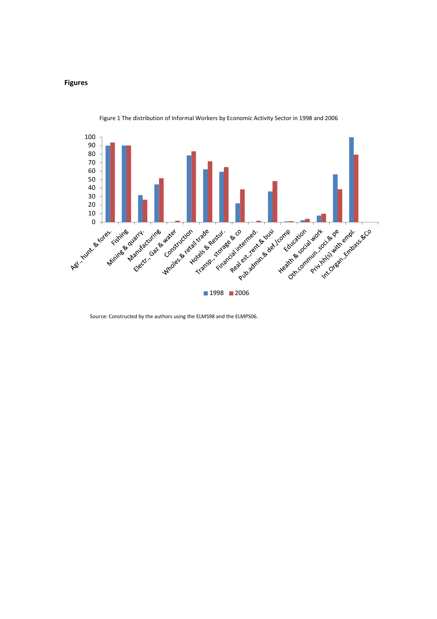#### **Figures**



Figure 1 The distribution of Informal Workers by Economic Activity Sector in 1998 and 2006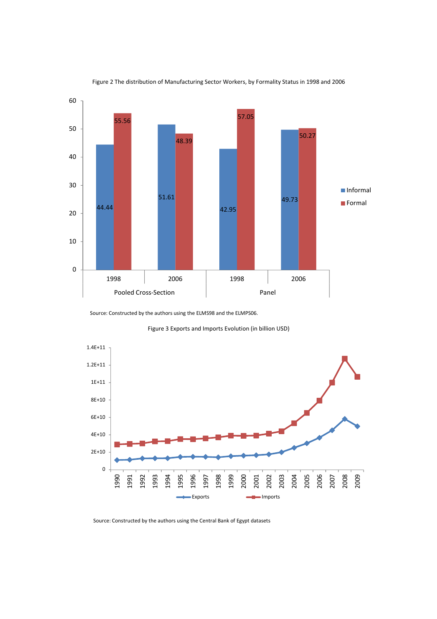

Figure 2 The distribution of Manufacturing Sector Workers, by Formality Status in 1998 and 2006

Figure 3 Exports and Imports Evolution (in billion USD)



Source: Constructed by the authors using the Central Bank of Egypt datasets

Source: Constructed by the authors using the ELMS98 and the ELMPS06.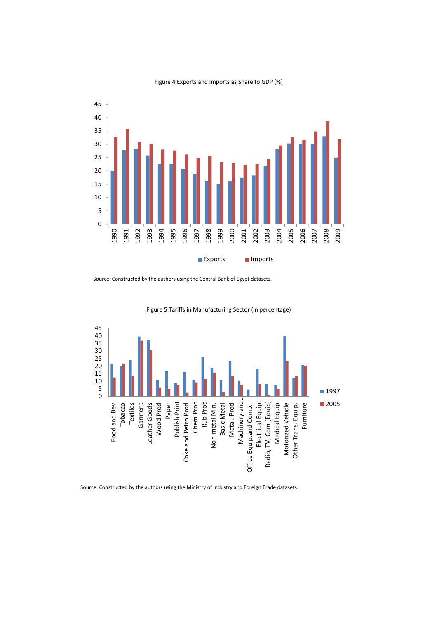

#### Figure 4 Exports and Imports as Share to GDP (%)

Source: Constructed by the authors using the Central Bank of Egypt datasets.



Figure 5 Tariffs in Manufacturing Sector (in percentage)

Source: Constructed by the authors using the Ministry of Industry and Foreign Trade datasets.